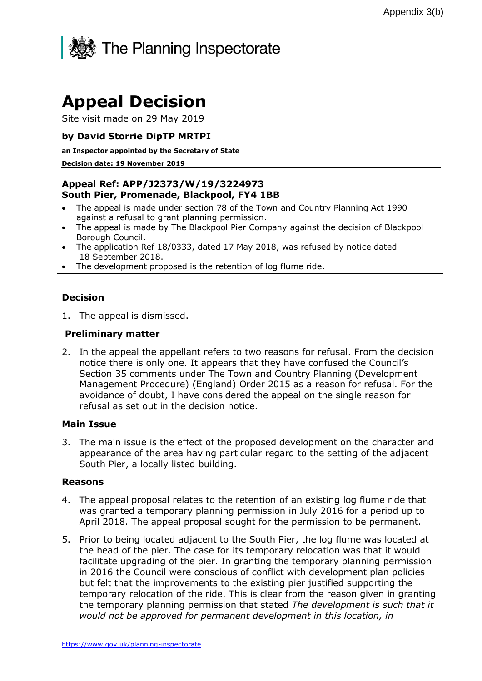

# **Appeal Decision**

Site visit made on 29 May 2019

## **by David Storrie DipTP MRTPI**

#### **an Inspector appointed by the Secretary of State**

#### **Decision date: 19 November 2019**

### **Appeal Ref: APP/J2373/W/19/3224973 South Pier, Promenade, Blackpool, FY4 1BB**

- The appeal is made under section 78 of the Town and Country Planning Act 1990 against a refusal to grant planning permission.
- The appeal is made by The Blackpool Pier Company against the decision of Blackpool Borough Council.
- The application Ref 18/0333, dated 17 May 2018, was refused by notice dated 18 September 2018.
- The development proposed is the retention of log flume ride.

#### **Decision**

1. The appeal is dismissed.

#### **Preliminary matter**

2. In the appeal the appellant refers to two reasons for refusal. From the decision notice there is only one. It appears that they have confused the Council's Section 35 comments under The Town and Country Planning (Development Management Procedure) (England) Order 2015 as a reason for refusal. For the avoidance of doubt, I have considered the appeal on the single reason for refusal as set out in the decision notice.

#### **Main Issue**

3. The main issue is the effect of the proposed development on the character and appearance of the area having particular regard to the setting of the adjacent South Pier, a locally listed building.

#### **Reasons**

- 4. The appeal proposal relates to the retention of an existing log flume ride that was granted a temporary planning permission in July 2016 for a period up to April 2018. The appeal proposal sought for the permission to be permanent.
- 5. Prior to being located adjacent to the South Pier, the log flume was located at the head of the pier. The case for its temporary relocation was that it would facilitate upgrading of the pier. In granting the temporary planning permission in 2016 the Council were conscious of conflict with development plan policies but felt that the improvements to the existing pier justified supporting the temporary relocation of the ride. This is clear from the reason given in granting the temporary planning permission that stated *The development is such that it would not be approved for permanent development in this location, in*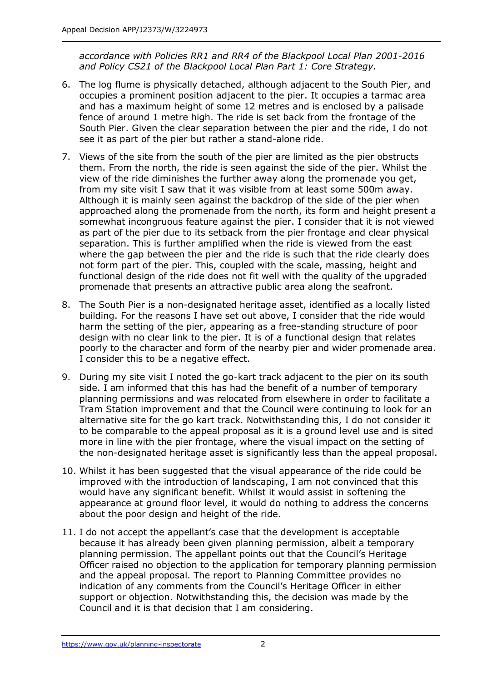*accordance with Policies RR1 and RR4 of the Blackpool Local Plan 2001-2016 and Policy CS21 of the Blackpool Local Plan Part 1: Core Strategy.*

- 6. The log flume is physically detached, although adjacent to the South Pier, and occupies a prominent position adjacent to the pier. It occupies a tarmac area and has a maximum height of some 12 metres and is enclosed by a palisade fence of around 1 metre high. The ride is set back from the frontage of the South Pier. Given the clear separation between the pier and the ride, I do not see it as part of the pier but rather a stand-alone ride.
- 7. Views of the site from the south of the pier are limited as the pier obstructs them. From the north, the ride is seen against the side of the pier. Whilst the view of the ride diminishes the further away along the promenade you get, from my site visit I saw that it was visible from at least some 500m away. Although it is mainly seen against the backdrop of the side of the pier when approached along the promenade from the north, its form and height present a somewhat incongruous feature against the pier. I consider that it is not viewed as part of the pier due to its setback from the pier frontage and clear physical separation. This is further amplified when the ride is viewed from the east where the gap between the pier and the ride is such that the ride clearly does not form part of the pier. This, coupled with the scale, massing, height and functional design of the ride does not fit well with the quality of the upgraded promenade that presents an attractive public area along the seafront.
- 8. The South Pier is a non-designated heritage asset, identified as a locally listed building. For the reasons I have set out above, I consider that the ride would harm the setting of the pier, appearing as a free-standing structure of poor design with no clear link to the pier. It is of a functional design that relates poorly to the character and form of the nearby pier and wider promenade area. I consider this to be a negative effect.
- 9. During my site visit I noted the go-kart track adjacent to the pier on its south side. I am informed that this has had the benefit of a number of temporary planning permissions and was relocated from elsewhere in order to facilitate a Tram Station improvement and that the Council were continuing to look for an alternative site for the go kart track. Notwithstanding this, I do not consider it to be comparable to the appeal proposal as it is a ground level use and is sited more in line with the pier frontage, where the visual impact on the setting of the non-designated heritage asset is significantly less than the appeal proposal.
- 10. Whilst it has been suggested that the visual appearance of the ride could be improved with the introduction of landscaping, I am not convinced that this would have any significant benefit. Whilst it would assist in softening the appearance at ground floor level, it would do nothing to address the concerns about the poor design and height of the ride.
- 11. I do not accept the appellant's case that the development is acceptable because it has already been given planning permission, albeit a temporary planning permission. The appellant points out that the Council's Heritage Officer raised no objection to the application for temporary planning permission and the appeal proposal. The report to Planning Committee provides no indication of any comments from the Council's Heritage Officer in either support or objection. Notwithstanding this, the decision was made by the Council and it is that decision that I am considering.